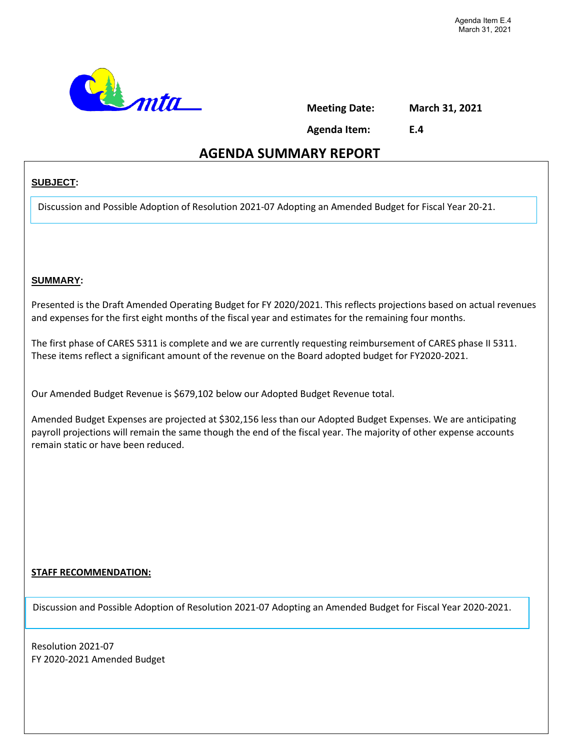

**Meeting Date:** 

**March 31, 2021** 

**Agenda Item:** 

**E.4**

## **AGENDA SUMMARY REPORT**

#### **SUBJECT:**

Discussion and Possible Adoption of Resolution 2021-07 Adopting an Amended Budget for Fiscal Year 20-21.

#### **SUMMARY:**

Presented is the Draft Amended Operating Budget for FY 2020/2021. This reflects projections based on actual revenues and expenses for the first eight months of the fiscal year and estimates for the remaining four months.

The first phase of CARES 5311 is complete and we are currently requesting reimbursement of CARES phase II 5311. These items reflect a significant amount of the revenue on the Board adopted budget for FY2020-2021.

Our Amended Budget Revenue is \$679,102 below our Adopted Budget Revenue total.

Amended Budget Expenses are projected at \$302,156 less than our Adopted Budget Expenses. We are anticipating payroll projections will remain the same though the end of the fiscal year. The majority of other expense accounts remain static or have been reduced.

#### **STAFF RECOMMENDATION:**

Discussion and Possible Adoption of Resolution 2021-07 Adopting an Amended Budget for Fiscal Year 2020-2021.

Resolution 2021-07 FY 2020-2021 Amended Budget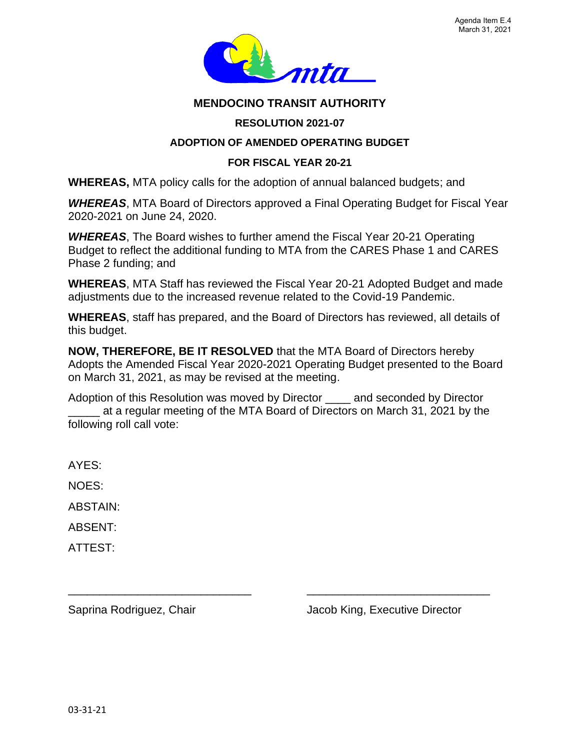

#### **MENDOCINO TRANSIT AUTHORITY**

#### **RESOLUTION 2021-07**

#### **ADOPTION OF AMENDED OPERATING BUDGET**

#### **FOR FISCAL YEAR 20-21**

**WHEREAS,** MTA policy calls for the adoption of annual balanced budgets; and

*WHEREAS*, MTA Board of Directors approved a Final Operating Budget for Fiscal Year 2020-2021 on June 24, 2020.

*WHEREAS*, The Board wishes to further amend the Fiscal Year 20-21 Operating Budget to reflect the additional funding to MTA from the CARES Phase 1 and CARES Phase 2 funding; and

**WHEREAS**, MTA Staff has reviewed the Fiscal Year 20-21 Adopted Budget and made adjustments due to the increased revenue related to the Covid-19 Pandemic.

**WHEREAS**, staff has prepared, and the Board of Directors has reviewed, all details of this budget.

**NOW, THEREFORE, BE IT RESOLVED** that the MTA Board of Directors hereby Adopts the Amended Fiscal Year 2020-2021 Operating Budget presented to the Board on March 31, 2021, as may be revised at the meeting.

Adoption of this Resolution was moved by Director and seconded by Director \_\_\_\_\_ at a regular meeting of the MTA Board of Directors on March 31, 2021 by the following roll call vote:

\_\_\_\_\_\_\_\_\_\_\_\_\_\_\_\_\_\_\_\_\_\_\_\_\_\_\_\_\_ \_\_\_\_\_\_\_\_\_\_\_\_\_\_\_\_\_\_\_\_\_\_\_\_\_\_\_\_\_

AYES:

NOES:

ABSTAIN:

ABSENT:

ATTEST:

Saprina Rodriguez, Chair **Jacob King, Executive Director**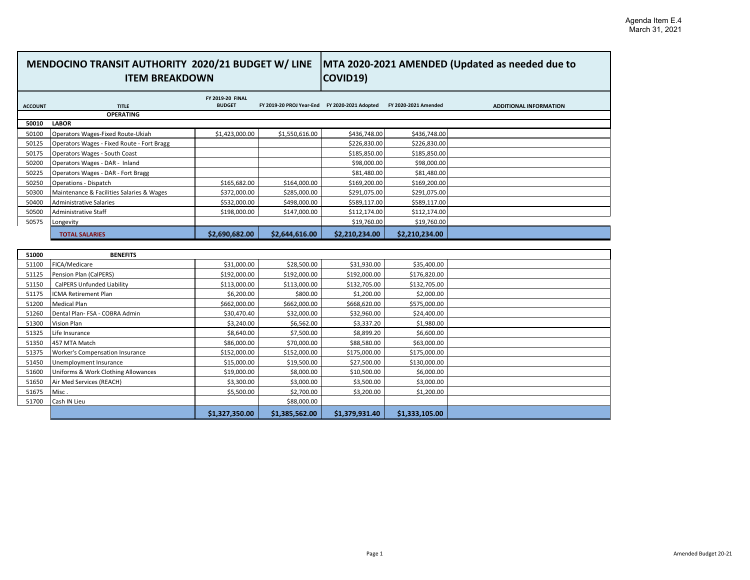#### **MENDOCINO TRANSIT AUTHORITY 2020/21 BUDGET W/ LINE ITEM BREAKDOWN**

### **MTA 2020-2021 AMENDED (Updated as needed due to COVID19)**

| <b>ACCOUNT</b> | <b>TITLE</b>                               | <b>FY 2019-20 FINAL</b><br><b>BUDGET</b> | FY 2019-20 PROJ Year-End | FY 2020-2021 Adopted | FY 2020-2021 Amended | <b>ADDITIONAL INFORMATION</b> |
|----------------|--------------------------------------------|------------------------------------------|--------------------------|----------------------|----------------------|-------------------------------|
|                | <b>OPERATING</b>                           |                                          |                          |                      |                      |                               |
| 50010          | <b>LABOR</b>                               |                                          |                          |                      |                      |                               |
| 50100          | Operators Wages-Fixed Route-Ukiah          | \$1,423,000.00                           | \$1,550,616.00           | \$436,748.00         | \$436,748.00         |                               |
| 50125          | Operators Wages - Fixed Route - Fort Bragg |                                          |                          | \$226,830.00         | \$226,830.00         |                               |
| 50175          | Operators Wages - South Coast              |                                          |                          | \$185,850.00         | \$185,850.00         |                               |
| 50200          | Operators Wages - DAR - Inland             |                                          |                          | \$98,000.00          | \$98,000.00          |                               |
| 50225          | Operators Wages - DAR - Fort Bragg         |                                          |                          | \$81,480.00          | \$81,480.00          |                               |
| 50250          | Operations - Dispatch                      | \$165,682.00                             | \$164,000.00             | \$169,200.00         | \$169,200.00         |                               |
| 50300          | Maintenance & Facilities Salaries & Wages  | \$372,000.00                             | \$285,000.00             | \$291,075.00         | \$291,075.00         |                               |
| 50400          | <b>Administrative Salaries</b>             | \$532,000.00                             | \$498,000.00             | \$589,117.00         | \$589,117.00         |                               |
| 50500          | Administrative Staff                       | \$198,000.00                             | \$147,000.00             | \$112,174.00         | \$112,174.00         |                               |
| 50575          | Longevity                                  |                                          |                          | \$19,760.00          | \$19,760.00          |                               |
|                | <b>TOTAL SALARIES</b>                      | \$2,690,682.00                           | \$2,644,616.00           | \$2,210,234.00       | \$2,210,234.00       |                               |

| 51000 | <b>BENEFITS</b>                     |                |                |                |                |  |
|-------|-------------------------------------|----------------|----------------|----------------|----------------|--|
| 51100 | FICA/Medicare                       | \$31,000.00    | \$28,500.00    | \$31,930.00    | \$35,400.00    |  |
| 51125 | Pension Plan (CalPERS)              | \$192,000.00   | \$192,000.00   | \$192,000.00   | \$176,820.00   |  |
| 51150 | CalPERS Unfunded Liability          | \$113,000.00   | \$113,000.00   | \$132,705.00   | \$132,705.00   |  |
| 51175 | ICMA Retirement Plan                | \$6,200.00     | \$800.00       | \$1,200.00     | \$2,000.00     |  |
| 51200 | <b>Medical Plan</b>                 | \$662,000.00   | \$662,000.00   | \$668,620.00   | \$575,000.00   |  |
| 51260 | Dental Plan- FSA - COBRA Admin      | \$30,470.40    | \$32,000.00    | \$32,960.00    | \$24,400.00    |  |
| 51300 | Vision Plan                         | \$3,240.00     | \$6,562.00     | \$3,337.20     | \$1,980.00     |  |
| 51325 | ife Insurance                       | \$8,640.00     | \$7,500.00     | \$8,899.20     | \$6,600.00     |  |
| 51350 | 457 MTA Match                       | \$86,000.00    | \$70,000.00    | \$88,580.00    | \$63,000.00    |  |
| 51375 | Worker's Compensation Insurance     | \$152,000.00   | \$152,000.00   | \$175,000.00   | \$175,000.00   |  |
| 51450 | Unemployment Insurance              | \$15,000.00    | \$19,500.00    | \$27,500.00    | \$130,000.00   |  |
| 51600 | Uniforms & Work Clothing Allowances | \$19,000.00    | \$8,000.00     | \$10,500.00    | \$6,000.00     |  |
| 51650 | Air Med Services (REACH)            | \$3,300.00     | \$3,000.00     | \$3,500.00     | \$3,000.00     |  |
| 51675 | Misc.                               | \$5,500.00     | \$2,700.00     | \$3,200.00     | \$1,200.00     |  |
| 51700 | Cash IN Lieu                        |                | \$88,000.00    |                |                |  |
|       |                                     | \$1,327,350.00 | \$1,385,562.00 | \$1,379,931.40 | \$1,333,105.00 |  |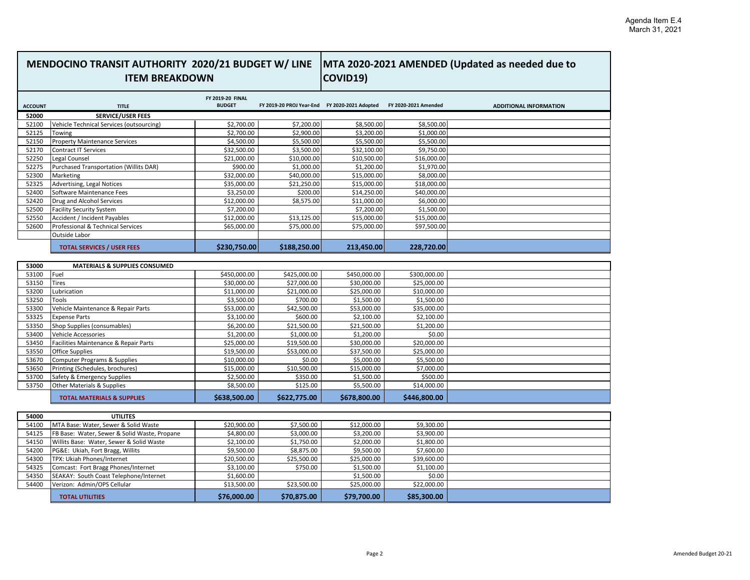#### MENDOCINO TRANSIT AUTHORITY 2020/21 BUDGET W/ LINE |MTA 2020-2021 AMENDED (Updated as needed due to **ITEM BREAKDOWN**

# **COVID19)**

| <b>ACCOUNT</b> | <b>TITLE</b>                                  | <b>FY 2019-20 FINAL</b><br><b>BUDGET</b> | FY 2019-20 PROJ Year-End | FY 2020-2021 Adopted | FY 2020-2021 Amended | <b>ADDITIONAL INFORMATION</b> |
|----------------|-----------------------------------------------|------------------------------------------|--------------------------|----------------------|----------------------|-------------------------------|
| 52000          | <b>SERVICE/USER FEES</b>                      |                                          |                          |                      |                      |                               |
| 52100          | Vehicle Technical Services (outsourcing)      | \$2,700.00                               | \$7,200.00               | \$8,500.00           | \$8,500.00           |                               |
| 52125          | Towing                                        | \$2,700.00                               | \$2,900.00               | \$3,200.00           | \$1,000.00           |                               |
| 52150          | <b>Property Maintenance Services</b>          | \$4,500.00                               | \$5,500.00               | \$5,500.00           | \$5,500.00           |                               |
| 52170          | <b>Contract IT Services</b>                   | \$32,500.00                              | \$3,500.00               | \$32,100.00          | \$9,750.00           |                               |
| 52250          | Legal Counsel                                 | \$21,000.00                              | \$10,000.00              | \$10,500.00          | \$16,000.00          |                               |
| 52275          | <b>Purchased Transportation (Willits DAR)</b> | \$900.00                                 | \$1,000.00               | \$1,200.00           | \$1,970.00           |                               |
| 52300          | Marketing                                     | \$32,000.00                              | \$40,000.00              | \$15,000.00          | \$8,000.00           |                               |
| 52325          | Advertising, Legal Notices                    | \$35,000.00                              | \$21,250.00              | \$15,000.00          | \$18,000.00          |                               |
| 52400          | Software Maintenance Fees                     | \$3,250.00                               | \$200.00                 | \$14,250.00          | \$40,000.00          |                               |
| 52420          | Drug and Alcohol Services                     | \$12,000.00                              | \$8,575.00               | \$11,000.00          | \$6,000.00           |                               |
| 52500          | <b>Facility Security System</b>               | \$7,200.00                               |                          | \$7,200.00           | \$1,500.00           |                               |
| 52550          | Accident / Incident Payables                  | \$12,000.00                              | \$13,125.00              | \$15,000.00          | \$15,000.00          |                               |
| 52600          | Professional & Technical Services             | \$65,000.00                              | \$75,000.00              | \$75,000.00          | \$97,500.00          |                               |
|                | Outside Labor                                 |                                          |                          |                      |                      |                               |
|                | <b>TOTAL SERVICES / USER FEES</b>             | \$230,750.00                             | \$188,250.00             | 213,450.00           | 228,720.00           |                               |

| 53000 | <b>MATERIALS &amp; SUPPLIES CONSUMED</b> |              |              |              |              |  |
|-------|------------------------------------------|--------------|--------------|--------------|--------------|--|
| 53100 | Fuel                                     | \$450,000.00 | \$425,000.00 | \$450,000.00 | \$300,000.00 |  |
| 53150 | Tires                                    | \$30,000.00  | \$27,000.00  | \$30,000.00  | \$25,000.00  |  |
| 53200 | Lubrication                              | \$11,000.00  | \$21,000.00  | \$25,000.00  | \$10,000.00  |  |
| 53250 | Tools                                    | \$3,500.00   | \$700.00     | \$1,500.00   | \$1,500.00   |  |
| 53300 | Vehicle Maintenance & Repair Parts       | \$53,000.00  | \$42,500.00  | \$53,000.00  | \$35,000.00  |  |
| 53325 | <b>Expense Parts</b>                     | \$3,100.00   | \$600.00     | \$2,100.00   | \$2,100.00   |  |
| 53350 | Shop Supplies (consumables)              | \$6,200.00   | \$21,500.00  | \$21,500.00  | \$1,200.00   |  |
| 53400 | <b>Vehicle Accessories</b>               | \$1,200.00   | \$1,000.00   | \$1,200.00   | \$0.00       |  |
| 53450 | Facilities Maintenance & Repair Parts    | \$25,000.00  | \$19,500.00  | \$30,000.00  | \$20,000.00  |  |
| 53550 | <b>Office Supplies</b>                   | \$19,500.00  | \$53,000.00  | \$37,500.00  | \$25,000.00  |  |
| 53670 | Computer Programs & Supplies             | \$10,000.00  | \$0.00       | \$5,000.00   | \$5,500.00   |  |
| 53650 | Printing (Schedules, brochures)          | \$15,000.00  | \$10,500.00  | \$15,000.00  | \$7,000.00   |  |
| 53700 | Safety & Emergency Supplies              | \$2,500.00   | \$350.00     | \$1,500.00   | \$500.00     |  |
| 53750 | <b>Other Materials &amp; Supplies</b>    | \$8,500.00   | \$125.00     | \$5,500.00   | \$14,000.00  |  |
|       | TOTAL MATERIALS & SUPPLIES               | \$638,500.00 | \$622,775.00 | \$678,800.00 | \$446,800.00 |  |

| 54000 | <b>UTILITES</b>                              |             |             |             |             |  |
|-------|----------------------------------------------|-------------|-------------|-------------|-------------|--|
| 54100 | MTA Base: Water, Sewer & Solid Waste         | \$20,900.00 | \$7,500.00  | \$12,000.00 | \$9,300.00  |  |
| 54125 | FB Base: Water, Sewer & Solid Waste, Propane | \$4,800.00  | \$3,000.00  | \$3,200.00  | \$3,900.00  |  |
| 54150 | Willits Base: Water, Sewer & Solid Waste     | \$2,100.00  | \$1,750.00  | \$2,000.00  | \$1,800.00  |  |
| 54200 | PG&E: Ukiah, Fort Bragg, Willits             | \$9,500.00  | \$8,875.00  | \$9,500.00  | \$7,600.00  |  |
| 54300 | TPX: Ukiah Phones/Internet                   | \$20,500.00 | \$25,500.00 | \$25,000.00 | \$39,600.00 |  |
| 54325 | Comcast: Fort Bragg Phones/Internet          | \$3,100.00  | \$750.00    | \$1,500.00  | \$1,100.00  |  |
| 54350 | SEAKAY: South Coast Telephone/Internet       | \$1,600.00  |             | \$1,500.00  | \$0.00      |  |
| 54400 | Verizon: Admin/OPS Cellular                  | \$13,500.00 | \$23,500.00 | \$25,000.00 | \$22,000.00 |  |
|       | <b>TOTAL UTILITIES</b>                       | \$76,000.00 | \$70,875.00 | \$79,700.00 | \$85,300.00 |  |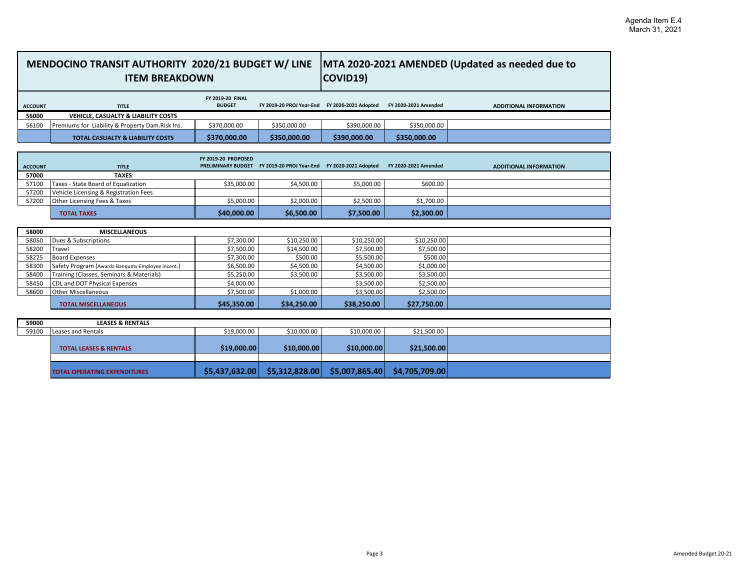#### **ACCOUNT TITLE FY 2019-20 FINAL BUDGET FY 2019-20 PROJ Year-End FY 2020-2021 Adopted FY 2020-2021 Amended ADDITIONAL INFORMATION MTA 2020-2021 AMENDED (Updated as needed due to COVID19) MENDOCINO TRANSIT AUTHORITY 2020/21 BUDGET W/ LINE ITEM BREAKDOWN 56000 VEHICLE, CASUALTY & LIABILITY COSTS** 56100 Premiums for Liability & Property Dam.Risk Ins. | \$370,000.00 | \$350,000.00 | \$390,000.00 \$350,000.00 **TOTAL CASUALTY & LIABILITY COSTS \$370,000.00 \$350,000.00 \$390,000.00 \$350,000.00**

|                |                                       | FY 2019-20 PROPOSED       |                          |                      |                      |                               |
|----------------|---------------------------------------|---------------------------|--------------------------|----------------------|----------------------|-------------------------------|
| <b>ACCOUNT</b> | <b>TITLE</b>                          | <b>PRELIMINARY BUDGET</b> | FY 2019-20 PROJ Year-End | FY 2020-2021 Adopted | FY 2020-2021 Amended | <b>ADDITIONAL INFORMATION</b> |
| 57000          | <b>TAXES</b>                          |                           |                          |                      |                      |                               |
| 57100          | Taxes - State Board of Equalization   | \$35,000.00               | \$4,500.00               | \$5,000.00           | \$600.00             |                               |
| 57200          | Vehicle Licensing & Registration Fees |                           |                          |                      |                      |                               |
| 57200          | Other Licensing Fees & Taxes          | \$5,000.00                | \$2,000.00               | \$2,500.00           | \$1,700.00           |                               |
|                | <b>TOTAL TAXES</b>                    | \$40,000.00               | \$6,500.00               | \$7,500.00           | \$2,300.00           |                               |

| 58000 | <b>MISCELLANEOUS</b>                              |             |             |             |             |  |
|-------|---------------------------------------------------|-------------|-------------|-------------|-------------|--|
| 58050 | Dues & Subscriptions                              | \$7,300.00  | \$10,250.00 | \$10,250.00 | \$10,250.00 |  |
| 58200 | Travel                                            | \$7,500.00  | \$14,500.00 | \$7,500.00  | \$7,500.00  |  |
| 58225 | <b>Board Expenses</b>                             | \$7,300.00  | \$500.00    | \$5,500.00  | \$500.00    |  |
| 58300 | Safety Program (Awards-Banquets-Employee Incent.) | \$6,500.00  | \$4,500.00  | \$4,500.00  | \$1,000.00  |  |
| 58400 | Training (Classes, Seminars & Materials)          | \$5,250.00  | \$3,500.00  | \$3,500.00  | \$3,500.00  |  |
| 58450 | CDL and DOT Physical Expenses                     | \$4,000.00  |             | \$3,500.00  | \$2,500.00  |  |
| 58600 | <b>Other Miscellaneous</b>                        | \$7,500.00  | \$1,000.00  | \$3,500.00  | \$2,500.00  |  |
|       | <b>TOTAL MISCELLANEOUS</b>                        | \$45,350.00 | \$34,250.00 | \$38,250.00 | \$27,750.00 |  |

| 59000 | <b>LEASES &amp; RENTALS</b>         |                |                |                |                |  |
|-------|-------------------------------------|----------------|----------------|----------------|----------------|--|
| 59100 | Leases and Rentals                  | \$19,000.00    | \$10,000.00    | \$10,000.00    | \$21,500.00    |  |
|       | <b>TOTAL LEASES &amp; RENTALS</b>   | \$19,000.00    | \$10,000.00]   | \$10,000,00    | \$21,500.00    |  |
|       |                                     |                |                |                |                |  |
|       | <b>TOTAL OPERATING EXPENDITURES</b> | \$5,437,632.00 | \$5,312,828.00 | \$5,007,865.40 | \$4,705,709.00 |  |